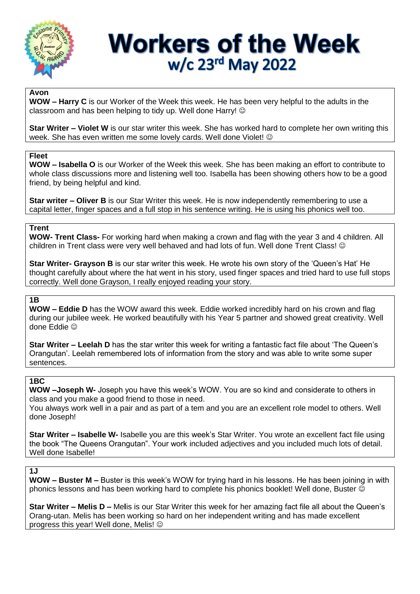

## **Workers of the Week** w/c 23rd May 2022

#### **Avon**

**WOW – Harry C** is our Worker of the Week this week. He has been very helpful to the adults in the classroom and has been helping to tidy up. Well done Harry!

**Star Writer – Violet W** is our star writer this week. She has worked hard to complete her own writing this week. She has even written me some lovely cards. Well done Violet!  $\odot$ 

#### **Fleet**

**WOW – Isabella O** is our Worker of the Week this week. She has been making an effort to contribute to whole class discussions more and listening well too. Isabella has been showing others how to be a good friend, by being helpful and kind.

**Star writer – Oliver B** is our Star Writer this week. He is now independently remembering to use a capital letter, finger spaces and a full stop in his sentence writing. He is using his phonics well too.

## **Trent**

**WOW- Trent Class-** For working hard when making a crown and flag with the year 3 and 4 children. All children in Trent class were very well behaved and had lots of fun. Well done Trent Class!

**Star Writer- Grayson B** is our star writer this week. He wrote his own story of the 'Queen's Hat' He thought carefully about where the hat went in his story, used finger spaces and tried hard to use full stops correctly. Well done Grayson, I really enjoyed reading your story.

## **1B**

**WOW – Eddie D** has the WOW award this week. Eddie worked incredibly hard on his crown and flag during our jubilee week. He worked beautifully with his Year 5 partner and showed great creativity. Well done Eddie

**Star Writer – Leelah D** has the star writer this week for writing a fantastic fact file about 'The Queen's Orangutan'. Leelah remembered lots of information from the story and was able to write some super sentences.

### **1BC**

**WOW –Joseph W-** Joseph you have this week's WOW. You are so kind and considerate to others in class and you make a good friend to those in need.

You always work well in a pair and as part of a tem and you are an excellent role model to others. Well done Joseph!

**Star Writer – Isabelle W-** Isabelle you are this week's Star Writer. You wrote an excellent fact file using the book "The Queens Orangutan". Your work included adjectives and you included much lots of detail. Well done Isabelle!

## **1J**

**WOW – Buster M –** Buster is this week's WOW for trying hard in his lessons. He has been joining in with phonics lessons and has been working hard to complete his phonics booklet! Well done, Buster

**Star Writer – Melis D –** Me**l**is is our Star Writer this week for her amazing fact file all about the Queen's Orang-utan. Melis has been working so hard on her independent writing and has made excellent progress this year! Well done, Melis!